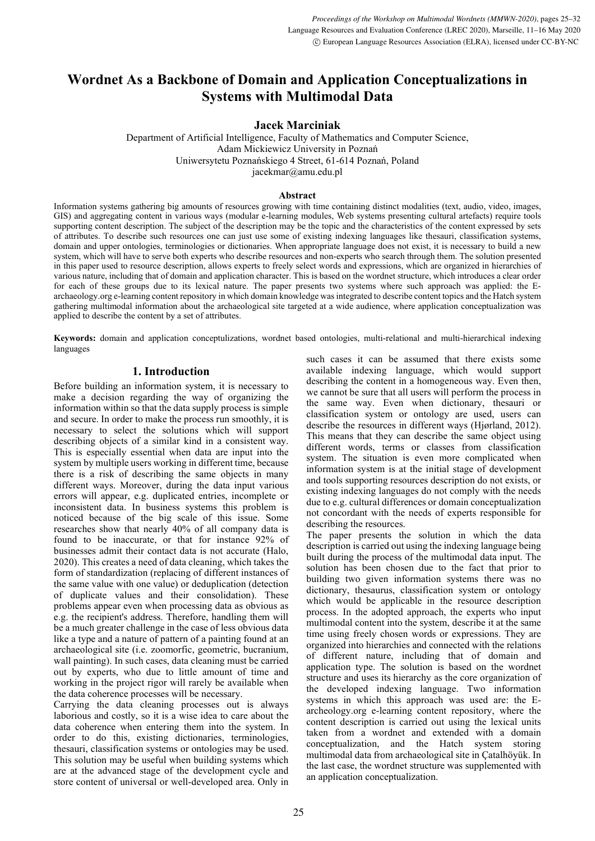# Wordnet As a Backbone of Domain and Application Conceptualizations in Systems with Multimodal Data

Jacek Marciniak

Department of Artificial Intelligence, Faculty of Mathematics and Computer Science, Adam Mickiewicz University in Poznań Uniwersytetu Poznańskiego 4 Street, 61-614 Poznań, Poland jacekmar@amu.edu.pl

#### Abstract

Information systems gathering big amounts of resources growing with time containing distinct modalities (text, audio, video, images, GIS) and aggregating content in various ways (modular e-learning modules, Web systems presenting cultural artefacts) require tools supporting content description. The subject of the description may be the topic and the characteristics of the content expressed by sets of attributes. To describe such resources one can just use some of existing indexing languages like thesauri, classification systems, domain and upper ontologies, terminologies or dictionaries. When appropriate language does not exist, it is necessary to build a new system, which will have to serve both experts who describe resources and non-experts who search through them. The solution presented in this paper used to resource description, allows experts to freely select words and expressions, which are organized in hierarchies of various nature, including that of domain and application character. This is based on the wordnet structure, which introduces a clear order for each of these groups due to its lexical nature. The paper presents two systems where such approach was applied: the Earchaeology.org e-learning content repository in which domain knowledge was integrated to describe content topics and the Hatch system gathering multimodal information about the archaeological site targeted at a wide audience, where application conceptualization was applied to describe the content by a set of attributes.

Keywords: domain and application conceptulizations, wordnet based ontologies, multi-relational and multi-hierarchical indexing languages

## 1. Introduction

Before building an information system, it is necessary to make a decision regarding the way of organizing the information within so that the data supply process is simple and secure. In order to make the process run smoothly, it is necessary to select the solutions which will support describing objects of a similar kind in a consistent way. This is especially essential when data are input into the system by multiple users working in different time, because there is a risk of describing the same objects in many different ways. Moreover, during the data input various errors will appear, e.g. duplicated entries, incomplete or inconsistent data. In business systems this problem is noticed because of the big scale of this issue. Some researches show that nearly 40% of all company data is found to be inaccurate, or that for instance 92% of businesses admit their contact data is not accurate (Halo, 2020). This creates a need of data cleaning, which takes the form of standardization (replacing of different instances of the same value with one value) or deduplication (detection of duplicate values and their consolidation). These problems appear even when processing data as obvious as e.g. the recipient's address. Therefore, handling them will be a much greater challenge in the case of less obvious data like a type and a nature of pattern of a painting found at an archaeological site (i.e. zoomorfic, geometric, bucranium, wall painting). In such cases, data cleaning must be carried out by experts, who due to little amount of time and working in the project rigor will rarely be available when the data coherence processes will be necessary.

Carrying the data cleaning processes out is always laborious and costly, so it is a wise idea to care about the data coherence when entering them into the system. In order to do this, existing dictionaries, terminologies, thesauri, classification systems or ontologies may be used. This solution may be useful when building systems which are at the advanced stage of the development cycle and store content of universal or well-developed area. Only in

such cases it can be assumed that there exists some available indexing language, which would support describing the content in a homogeneous way. Even then, we cannot be sure that all users will perform the process in the same way. Even when dictionary, thesauri or classification system or ontology are used, users can describe the resources in different ways (Hjørland, 2012). This means that they can describe the same object using different words, terms or classes from classification system. The situation is even more complicated when information system is at the initial stage of development and tools supporting resources description do not exists, or existing indexing languages do not comply with the needs due to e.g. cultural differences or domain conceptualization not concordant with the needs of experts responsible for describing the resources.

The paper presents the solution in which the data description is carried out using the indexing language being built during the process of the multimodal data input. The solution has been chosen due to the fact that prior to building two given information systems there was no dictionary, thesaurus, classification system or ontology which would be applicable in the resource description process. In the adopted approach, the experts who input multimodal content into the system, describe it at the same time using freely chosen words or expressions. They are organized into hierarchies and connected with the relations of different nature, including that of domain and application type. The solution is based on the wordnet structure and uses its hierarchy as the core organization of the developed indexing language. Two information systems in which this approach was used are: the Earcheology.org e-learning content repository, where the content description is carried out using the lexical units taken from a wordnet and extended with a domain conceptualization, and the Hatch system storing multimodal data from archaeological site in Çatalhöyük. In the last case, the wordnet structure was supplemented with an application conceptualization.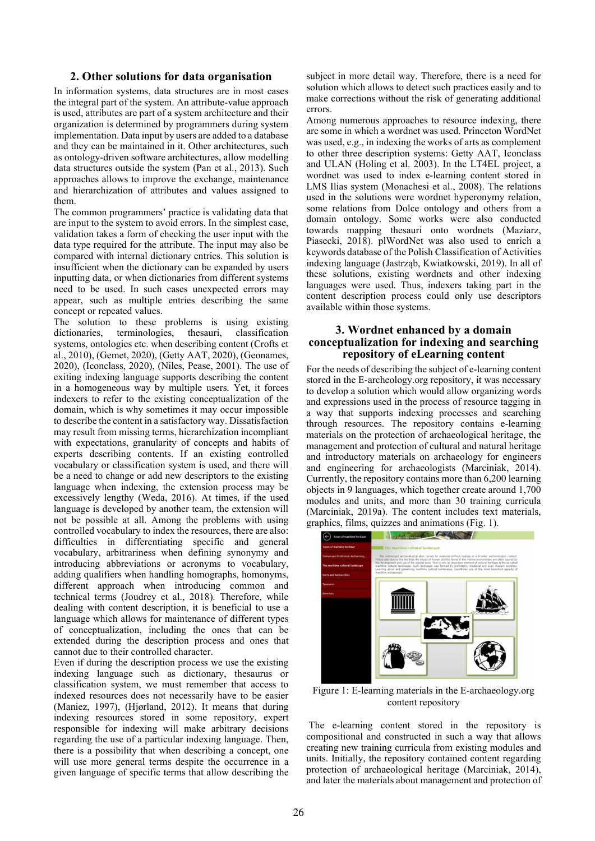## 2. Other solutions for data organisation

In information systems, data structures are in most cases the integral part of the system. An attribute-value approach is used, attributes are part of a system architecture and their organization is determined by programmers during system implementation. Data input by users are added to a database and they can be maintained in it. Other architectures, such as ontology-driven software architectures, allow modelling data structures outside the system (Pan et al., 2013). Such approaches allows to improve the exchange, maintenance and hierarchization of attributes and values assigned to them.

The common programmers' practice is validating data that are input to the system to avoid errors. In the simplest case, validation takes a form of checking the user input with the data type required for the attribute. The input may also be compared with internal dictionary entries. This solution is insufficient when the dictionary can be expanded by users inputting data, or when dictionaries from different systems need to be used. In such cases unexpected errors may appear, such as multiple entries describing the same concept or repeated values.

The solution to these problems is using existing dictionaries, terminologies, thesauri, classification systems, ontologies etc. when describing content (Crofts et al., 2010), (Gemet, 2020), (Getty AAT, 2020), (Geonames, 2020), (Iconclass, 2020), (Niles, Pease, 2001). The use of exiting indexing language supports describing the content in a homogeneous way by multiple users. Yet, it forces indexers to refer to the existing conceptualization of the domain, which is why sometimes it may occur impossible to describe the content in a satisfactory way. Dissatisfaction may result from missing terms, hierarchization incompliant with expectations, granularity of concepts and habits of experts describing contents. If an existing controlled vocabulary or classification system is used, and there will be a need to change or add new descriptors to the existing language when indexing, the extension process may be excessively lengthy (Weda, 2016). At times, if the used language is developed by another team, the extension will not be possible at all. Among the problems with using controlled vocabulary to index the resources, there are also: difficulties in differentiating specific and general vocabulary, arbitrariness when defining synonymy and introducing abbreviations or acronyms to vocabulary, adding qualifiers when handling homographs, homonyms, different approach when introducing common and technical terms (Joudrey et al., 2018). Therefore, while dealing with content description, it is beneficial to use a language which allows for maintenance of different types of conceptualization, including the ones that can be extended during the description process and ones that cannot due to their controlled character.

Even if during the description process we use the existing indexing language such as dictionary, thesaurus or classification system, we must remember that access to indexed resources does not necessarily have to be easier (Maniez, 1997), (Hjørland, 2012). It means that during indexing resources stored in some repository, expert responsible for indexing will make arbitrary decisions regarding the use of a particular indexing language. Then, there is a possibility that when describing a concept, one will use more general terms despite the occurrence in a given language of specific terms that allow describing the

subject in more detail way. Therefore, there is a need for solution which allows to detect such practices easily and to make corrections without the risk of generating additional errors.

Among numerous approaches to resource indexing, there are some in which a wordnet was used. Princeton WordNet was used, e.g., in indexing the works of arts as complement to other three description systems: Getty AAT, Iconclass and ULAN (Holing et al. 2003). In the LT4EL project, a wordnet was used to index e-learning content stored in LMS Ilias system (Monachesi et al., 2008). The relations used in the solutions were wordnet hyperonymy relation, some relations from Dolce ontology and others from a domain ontology. Some works were also conducted towards mapping thesauri onto wordnets (Maziarz, Piasecki, 2018). plWordNet was also used to enrich a keywords database of the Polish Classification of Activities indexing language (Jastrząb, Kwiatkowski, 2019). In all of these solutions, existing wordnets and other indexing languages were used. Thus, indexers taking part in the content description process could only use descriptors available within those systems.

# 3. Wordnet enhanced by a domain conceptualization for indexing and searching repository of eLearning content

For the needs of describing the subject of e-learning content stored in the E-archeology.org repository, it was necessary to develop a solution which would allow organizing words and expressions used in the process of resource tagging in a way that supports indexing processes and searching through resources. The repository contains e-learning materials on the protection of archaeological heritage, the management and protection of cultural and natural heritage and introductory materials on archaeology for engineers and engineering for archaeologists (Marciniak, 2014). Currently, the repository contains more than 6,200 learning objects in 9 languages, which together create around 1,700 modules and units, and more than 30 training curricula (Marciniak, 2019a). The content includes text materials, graphics, films, quizzes and animations (Fig. 1).



Figure 1: E-learning materials in the E-archaeology.org content repository

 The e-learning content stored in the repository is compositional and constructed in such a way that allows creating new training curricula from existing modules and units. Initially, the repository contained content regarding protection of archaeological heritage (Marciniak, 2014), and later the materials about management and protection of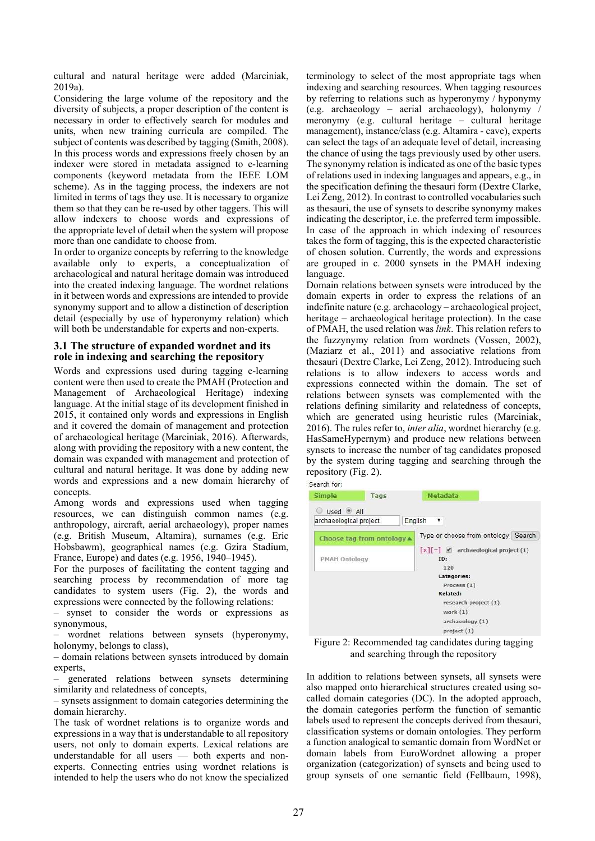cultural and natural heritage were added (Marciniak, 2019a).

Considering the large volume of the repository and the diversity of subjects, a proper description of the content is necessary in order to effectively search for modules and units, when new training curricula are compiled. The subject of contents was described by tagging (Smith, 2008). In this process words and expressions freely chosen by an indexer were stored in metadata assigned to e-learning components (keyword metadata from the IEEE LOM scheme). As in the tagging process, the indexers are not limited in terms of tags they use. It is necessary to organize them so that they can be re-used by other taggers. This will allow indexers to choose words and expressions of the appropriate level of detail when the system will propose more than one candidate to choose from.

In order to organize concepts by referring to the knowledge available only to experts, a conceptualization of archaeological and natural heritage domain was introduced into the created indexing language. The wordnet relations in it between words and expressions are intended to provide synonymy support and to allow a distinction of description detail (especially by use of hyperonymy relation) which will both be understandable for experts and non-experts.

#### 3.1 The structure of expanded wordnet and its role in indexing and searching the repository

Words and expressions used during tagging e-learning content were then used to create the PMAH (Protection and Management of Archaeological Heritage) indexing language. At the initial stage of its development finished in 2015, it contained only words and expressions in English and it covered the domain of management and protection of archaeological heritage (Marciniak, 2016). Afterwards, along with providing the repository with a new content, the domain was expanded with management and protection of cultural and natural heritage. It was done by adding new words and expressions and a new domain hierarchy of concepts.

Among words and expressions used when tagging resources, we can distinguish common names (e.g. anthropology, aircraft, aerial archaeology), proper names (e.g. British Museum, Altamira), surnames (e.g. Eric Hobsbawm), geographical names (e.g. Gzira Stadium, France, Europe) and dates (e.g. 1956, 1940–1945).

For the purposes of facilitating the content tagging and searching process by recommendation of more tag candidates to system users (Fig. 2), the words and expressions were connected by the following relations:

– synset to consider the words or expressions as synonymous,

– wordnet relations between synsets (hyperonymy, holonymy, belongs to class),

– domain relations between synsets introduced by domain experts,

– generated relations between synsets determining similarity and relatedness of concepts,

– synsets assignment to domain categories determining the domain hierarchy.

The task of wordnet relations is to organize words and expressions in a way that is understandable to all repository users, not only to domain experts. Lexical relations are understandable for all users — both experts and nonexperts. Connecting entries using wordnet relations is intended to help the users who do not know the specialized

terminology to select of the most appropriate tags when indexing and searching resources. When tagging resources by referring to relations such as hyperonymy / hyponymy (e.g. archaeology – aerial archaeology), holonymy / meronymy (e.g. cultural heritage – cultural heritage management), instance/class (e.g. Altamira - cave), experts can select the tags of an adequate level of detail, increasing the chance of using the tags previously used by other users. The synonymy relation is indicated as one of the basic types of relations used in indexing languages and appears, e.g., in the specification defining the thesauri form (Dextre Clarke, Lei Zeng, 2012). In contrast to controlled vocabularies such as thesauri, the use of synsets to describe synonymy makes indicating the descriptor, i.e. the preferred term impossible. In case of the approach in which indexing of resources takes the form of tagging, this is the expected characteristic of chosen solution. Currently, the words and expressions are grouped in c. 2000 synsets in the PMAH indexing language.

Domain relations between synsets were introduced by the domain experts in order to express the relations of an indefinite nature (e.g. archaeology – archaeological project, heritage – archaeological heritage protection). In the case of PMAH, the used relation was link. This relation refers to the fuzzynymy relation from wordnets (Vossen, 2002), (Maziarz et al., 2011) and associative relations from thesauri (Dextre Clarke, Lei Zeng, 2012). Introducing such relations is to allow indexers to access words and expressions connected within the domain. The set of relations between synsets was complemented with the relations defining similarity and relatedness of concepts, which are generated using heuristic rules (Marciniak, 2016). The rules refer to, inter alia, wordnet hierarchy (e.g. HasSameHypernym) and produce new relations between synsets to increase the number of tag candidates proposed by the system during tagging and searching through the repository (Fig. 2).

| bearul IVI.<br><b>Simple</b> | Tags                                 |         | Metadata                                                          |
|------------------------------|--------------------------------------|---------|-------------------------------------------------------------------|
| Used <sup>@</sup> All        |                                      |         |                                                                   |
| archaeological project       |                                      | English | ۳                                                                 |
|                              | Choose tag from ontology $\triangle$ |         | Type or choose from ontology Search                               |
| <b>PMAH Ontology</b>         |                                      |         | $\lceil x \rceil - 1$<br>archaeological project (1)<br>ID:<br>120 |
|                              |                                      |         | <b>Categories:</b>                                                |
|                              |                                      |         | Process (1)                                                       |
|                              |                                      |         | Related:                                                          |
|                              |                                      |         | research project (1)                                              |
|                              |                                      |         | work (1)                                                          |
|                              |                                      |         | archaeology (1)                                                   |
|                              |                                      |         | project (1)                                                       |

Figure 2: Recommended tag candidates during tagging and searching through the repository

In addition to relations between synsets, all synsets were also mapped onto hierarchical structures created using socalled domain categories (DC). In the adopted approach, the domain categories perform the function of semantic labels used to represent the concepts derived from thesauri, classification systems or domain ontologies. They perform a function analogical to semantic domain from WordNet or domain labels from EuroWordnet allowing a proper organization (categorization) of synsets and being used to group synsets of one semantic field (Fellbaum, 1998),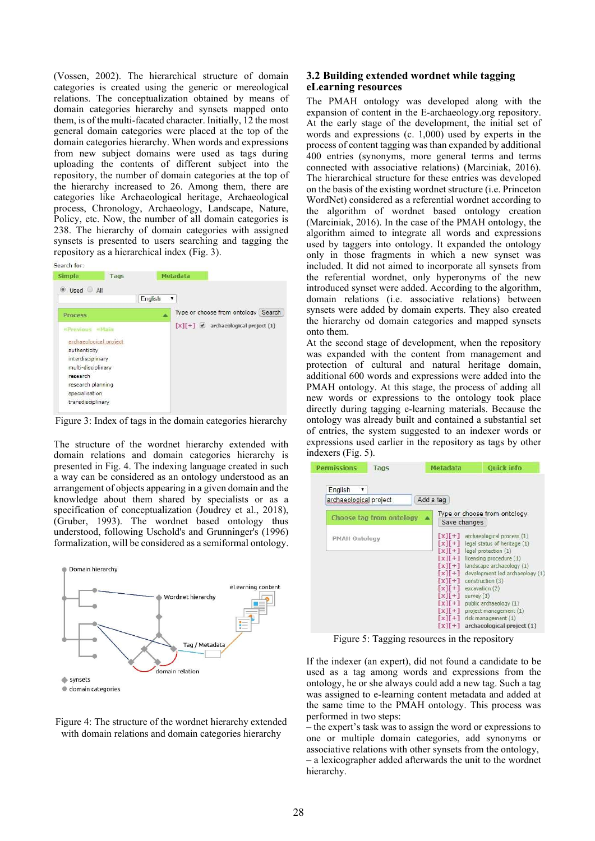(Vossen, 2002). The hierarchical structure of domain categories is created using the generic or mereological relations. The conceptualization obtained by means of domain categories hierarchy and synsets mapped onto them, is of the multi-facated character. Initially, 12 the most general domain categories were placed at the top of the domain categories hierarchy. When words and expressions from new subject domains were used as tags during uploading the contents of different subject into the repository, the number of domain categories at the top of the hierarchy increased to 26. Among them, there are categories like Archaeological heritage, Archaeological process, Chronology, Archaeology, Landscape, Nature, Policy, etc. Now, the number of all domain categories is 238. The hierarchy of domain categories with assigned synsets is presented to users searching and tagging the repository as a hierarchical index (Fig. 3).

| Search for:                                                                                                                                                                             |      |         |                                            |
|-----------------------------------------------------------------------------------------------------------------------------------------------------------------------------------------|------|---------|--------------------------------------------|
| Simple                                                                                                                                                                                  | Tags |         | <b>Metadata</b>                            |
| Used All                                                                                                                                                                                |      | English | ۷                                          |
| Process                                                                                                                                                                                 |      |         | Type or choose from ontology Search        |
| <b>Previous</b><br>er Mann<br>archaeological project<br>authenticity<br>interdisciplinary<br>multi-disciplinary<br>research<br>research planning<br>specialisation<br>transdisciplinary |      |         | $[x][+] \times$ archaeological project (1) |

Figure 3: Index of tags in the domain categories hierarchy

The structure of the wordnet hierarchy extended with domain relations and domain categories hierarchy is presented in Fig. 4. The indexing language created in such a way can be considered as an ontology understood as an arrangement of objects appearing in a given domain and the knowledge about them shared by specialists or as a specification of conceptualization (Joudrey et al., 2018), (Gruber, 1993). The wordnet based ontology thus understood, following Uschold's and Grunninger's (1996) formalization, will be considered as a semiformal ontology.





# 3.2 Building extended wordnet while tagging eLearning resources

The PMAH ontology was developed along with the expansion of content in the E-archaeology.org repository. At the early stage of the development, the initial set of words and expressions (c. 1,000) used by experts in the process of content tagging was than expanded by additional 400 entries (synonyms, more general terms and terms connected with associative relations) (Marciniak, 2016). The hierarchical structure for these entries was developed on the basis of the existing wordnet structure (i.e. Princeton WordNet) considered as a referential wordnet according to the algorithm of wordnet based ontology creation (Marciniak, 2016). In the case of the PMAH ontology, the algorithm aimed to integrate all words and expressions used by taggers into ontology. It expanded the ontology only in those fragments in which a new synset was included. It did not aimed to incorporate all synsets from the referential wordnet, only hyperonyms of the new introduced synset were added. According to the algorithm, domain relations (i.e. associative relations) between synsets were added by domain experts. They also created the hierarchy od domain categories and mapped synsets onto them.

At the second stage of development, when the repository was expanded with the content from management and protection of cultural and natural heritage domain, additional 600 words and expressions were added into the PMAH ontology. At this stage, the process of adding all new words or expressions to the ontology took place directly during tagging e-learning materials. Because the ontology was already built and contained a substantial set of entries, the system suggested to an indexer words or expressions used earlier in the repository as tags by other indexers (Fig. 5).

| <b>Permissions</b>                | Tags                     | Metadata                                                                                                                                                                                                                                                                                | <b>Ouick info</b>                                                                                                                                                                                                                                                                                                                                                                                 |
|-----------------------------------|--------------------------|-----------------------------------------------------------------------------------------------------------------------------------------------------------------------------------------------------------------------------------------------------------------------------------------|---------------------------------------------------------------------------------------------------------------------------------------------------------------------------------------------------------------------------------------------------------------------------------------------------------------------------------------------------------------------------------------------------|
| English<br>archaeological project |                          | Add a tag                                                                                                                                                                                                                                                                               |                                                                                                                                                                                                                                                                                                                                                                                                   |
|                                   | Choose tag from ontology |                                                                                                                                                                                                                                                                                         | Type or choose from ontology<br>Save changes                                                                                                                                                                                                                                                                                                                                                      |
| <b>PMAH Ontology</b>              |                          | $\lceil x \rceil + 1$<br>$x\mathbf{1}$<br>$\lceil x \rceil + \rceil$<br>$\lceil x \rceil + \rceil$<br>$xI + 1$<br>$x\mathbf{1}$<br>$\lceil x \rceil + 1$<br>$\lceil x \rceil + 1$<br>$\lceil x \rceil + \rceil$<br>$\lceil x \rceil + \rceil$<br>$\begin{bmatrix} x \\ x \end{bmatrix}$ | $\lceil x \rceil + \rceil$ archaeological process (1)<br>legal status of heritage (1)<br>legal protection (1)<br>$\lceil x \rceil + \rceil$ licensing procedure (1)<br>landscape archaeology (1)<br>development led archaeology (1<br>construction (3)<br>excavation (2)<br>survey $(1)$<br>public archaeology (1)<br>project management (1)<br>risk management (1)<br>archaeological project (1) |

Figure 5: Tagging resources in the repository

If the indexer (an expert), did not found a candidate to be used as a tag among words and expressions from the ontology, he or she always could add a new tag. Such a tag was assigned to e-learning content metadata and added at the same time to the PMAH ontology. This process was performed in two steps:

– the expert's task was to assign the word or expressions to one or multiple domain categories, add synonyms or associative relations with other synsets from the ontology, – a lexicographer added afterwards the unit to the wordnet hierarchy.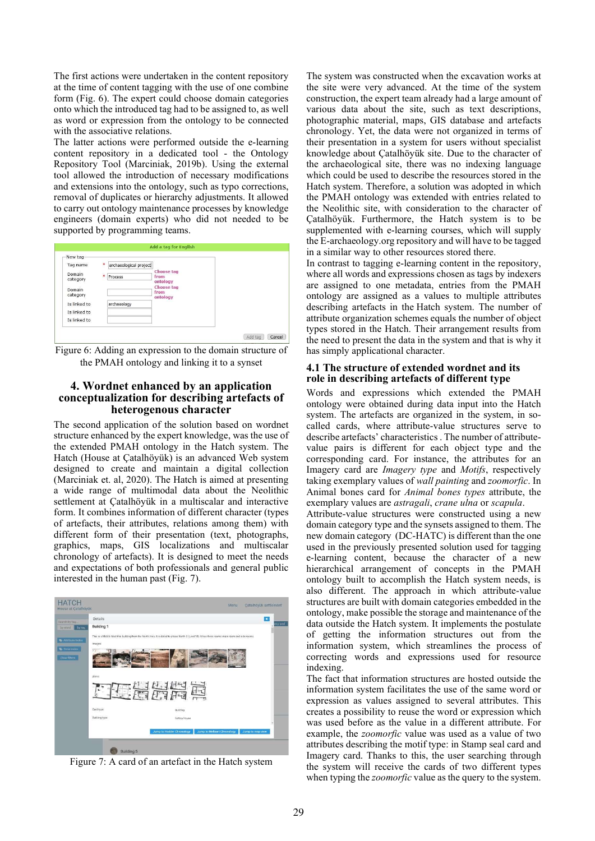The first actions were undertaken in the content repository at the time of content tagging with the use of one combine form (Fig. 6). The expert could choose domain categories onto which the introduced tag had to be assigned to, as well as word or expression from the ontology to be connected with the associative relations.

The latter actions were performed outside the e-learning content repository in a dedicated tool - the Ontology Repository Tool (Marciniak, 2019b). Using the external tool allowed the introduction of necessary modifications and extensions into the ontology, such as typo corrections, removal of duplicates or hierarchy adjustments. It allowed to carry out ontology maintenance processes by knowledge engineers (domain experts) who did not needed to be supported by programming teams.



Figure 6: Adding an expression to the domain structure of the PMAH ontology and linking it to a synset

# 4. Wordnet enhanced by an application conceptualization for describing artefacts of heterogenous character

The second application of the solution based on wordnet structure enhanced by the expert knowledge, was the use of the extended PMAH ontology in the Hatch system. The Hatch (House at Çatalhöyük) is an advanced Web system designed to create and maintain a digital collection (Marciniak et. al, 2020). The Hatch is aimed at presenting a wide range of multimodal data about the Neolithic settlement at Çatalhöyük in a multiscalar and interactive form. It combines information of different character (types of artefacts, their attributes, relations among them) with different form of their presentation (text, photographs, graphics, maps, GIS localizations and multiscalar chronology of artefacts). It is designed to meet the needs and expectations of both professionals and general public interested in the human past (Fig. 7).



Figure 7: A card of an artefact in the Hatch system

The system was constructed when the excavation works at the site were very advanced. At the time of the system construction, the expert team already had a large amount of various data about the site, such as text descriptions, photographic material, maps, GIS database and artefacts chronology. Yet, the data were not organized in terms of their presentation in a system for users without specialist knowledge about Çatalhöyük site. Due to the character of the archaeological site, there was no indexing language which could be used to describe the resources stored in the Hatch system. Therefore, a solution was adopted in which the PMAH ontology was extended with entries related to the Neolithic site, with consideration to the character of Çatalhöyük. Furthermore, the Hatch system is to be supplemented with e-learning courses, which will supply the E-archaeology.org repository and will have to be tagged in a similar way to other resources stored there.

In contrast to tagging e-learning content in the repository, where all words and expressions chosen as tags by indexers are assigned to one metadata, entries from the PMAH ontology are assigned as a values to multiple attributes describing artefacts in the Hatch system. The number of attribute organization schemes equals the number of object types stored in the Hatch. Their arrangement results from the need to present the data in the system and that is why it has simply applicational character.

#### 4.1 The structure of extended wordnet and its role in describing artefacts of different type

Words and expressions which extended the PMAH ontology were obtained during data input into the Hatch system. The artefacts are organized in the system, in socalled cards, where attribute-value structures serve to describe artefacts' characteristics . The number of attributevalue pairs is different for each object type and the corresponding card. For instance, the attributes for an Imagery card are Imagery type and Motifs, respectively taking exemplary values of wall painting and zoomorfic. In Animal bones card for Animal bones types attribute, the exemplary values are astragali, crane ulna or scapula.

Attribute-value structures were constructed using a new domain category type and the synsets assigned to them. The new domain category (DC-HATC) is different than the one used in the previously presented solution used for tagging e-learning content, because the character of a new hierarchical arrangement of concepts in the PMAH ontology built to accomplish the Hatch system needs, is also different. The approach in which attribute-value structures are built with domain categories embedded in the ontology, make possible the storage and maintenance of the data outside the Hatch system. It implements the postulate of getting the information structures out from the information system, which streamlines the process of correcting words and expressions used for resource indexing.

The fact that information structures are hosted outside the information system facilitates the use of the same word or expression as values assigned to several attributes. This creates a possibility to reuse the word or expression which was used before as the value in a different attribute. For example, the zoomorfic value was used as a value of two attributes describing the motif type: in Stamp seal card and Imagery card. Thanks to this, the user searching through the system will receive the cards of two different types when typing the *zoomorfic* value as the query to the system.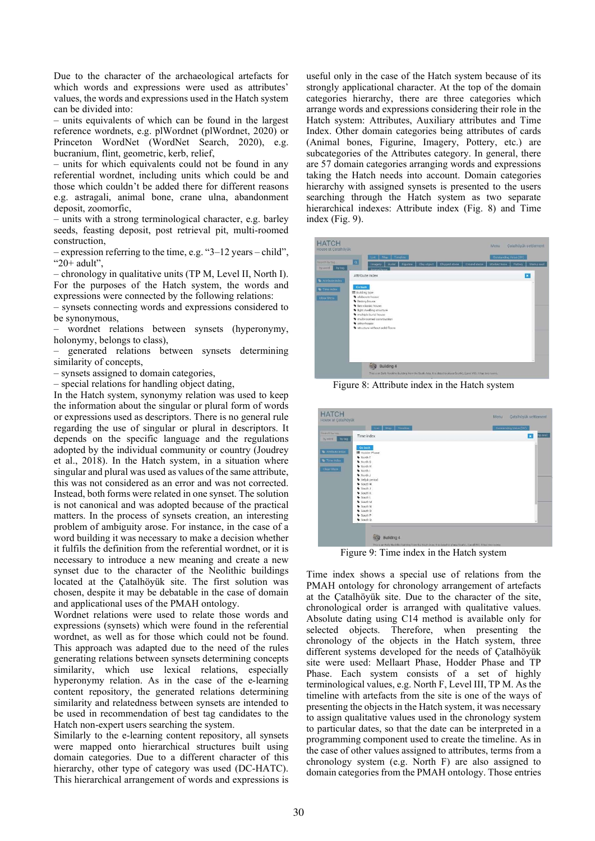Due to the character of the archaeological artefacts for which words and expressions were used as attributes' values, the words and expressions used in the Hatch system can be divided into:

– units equivalents of which can be found in the largest reference wordnets, e.g. plWordnet (plWordnet, 2020) or Princeton WordNet (WordNet Search, 2020), e.g. bucranium, flint, geometric, kerb, relief,

– units for which equivalents could not be found in any referential wordnet, including units which could be and those which couldn't be added there for different reasons e.g. astragali, animal bone, crane ulna, abandonment deposit, zoomorfic,

– units with a strong terminological character, e.g. barley seeds, feasting deposit, post retrieval pit, multi-roomed construction,

– expression referring to the time, e.g. "3–12 years – child", "20+ adult",

– chronology in qualitative units (TP M, Level II, North I). For the purposes of the Hatch system, the words and expressions were connected by the following relations:

– synsets connecting words and expressions considered to be synonymous,

– wordnet relations between synsets (hyperonymy, holonymy, belongs to class),

– generated relations between synsets determining similarity of concepts,

– synsets assigned to domain categories,

– special relations for handling object dating,

In the Hatch system, synonymy relation was used to keep the information about the singular or plural form of words or expressions used as descriptors. There is no general rule regarding the use of singular or plural in descriptors. It depends on the specific language and the regulations adopted by the individual community or country (Joudrey et al., 2018). In the Hatch system, in a situation where singular and plural was used as values of the same attribute, this was not considered as an error and was not corrected. Instead, both forms were related in one synset. The solution is not canonical and was adopted because of the practical matters. In the process of synsets creation, an interesting problem of ambiguity arose. For instance, in the case of a word building it was necessary to make a decision whether it fulfils the definition from the referential wordnet, or it is necessary to introduce a new meaning and create a new synset due to the character of the Neolithic buildings located at the Çatalhöyük site. The first solution was chosen, despite it may be debatable in the case of domain and applicational uses of the PMAH ontology.

Wordnet relations were used to relate those words and expressions (synsets) which were found in the referential wordnet, as well as for those which could not be found. This approach was adapted due to the need of the rules generating relations between synsets determining concepts similarity, which use lexical relations, especially hyperonymy relation. As in the case of the e-learning content repository, the generated relations determining similarity and relatedness between synsets are intended to be used in recommendation of best tag candidates to the Hatch non-expert users searching the system.

Similarly to the e-learning content repository, all synsets were mapped onto hierarchical structures built using domain categories. Due to a different character of this hierarchy, other type of category was used (DC-HATC). This hierarchical arrangement of words and expressions is

useful only in the case of the Hatch system because of its strongly applicational character. At the top of the domain categories hierarchy, there are three categories which arrange words and expressions considering their role in the Hatch system: Attributes, Auxiliary attributes and Time Index. Other domain categories being attributes of cards (Animal bones, Figurine, Imagery, Pottery, etc.) are subcategories of the Attributes category. In general, there are 57 domain categories arranging words and expressions taking the Hatch needs into account. Domain categories hierarchy with assigned synsets is presented to the users searching through the Hatch system as two separate hierarchical indexes: Attribute index (Fig. 8) and Time index (Fig. 9).

|                                     |                                                              | Map<br>List                                                                                                                                                       | Timeline           |             |               |              | Outstanding Value (OV) |         |              |
|-------------------------------------|--------------------------------------------------------------|-------------------------------------------------------------------------------------------------------------------------------------------------------------------|--------------------|-------------|---------------|--------------|------------------------|---------|--------------|
| Search by too.<br>by word<br>by tag | a                                                            | Imagery<br>Antesal keese                                                                                                                                          | Burial<br>Figurine | Clay object | Chipped stone | Ground stone | Worked bone            | Pottery | Stamp seal   |
| Attribute index                     | Attribute index                                              |                                                                                                                                                                   |                    |             |               |              |                        |         | $\mathbf{R}$ |
| Time Index<br>Clear filters         | Go back<br>量 Building type<br>history house<br>· other house | · elaborate house<br>· late classic house<br>light dwelling structure<br>· multiple burial house<br>· multi-spomed construction<br>structure without solid floors |                    |             |               |              |                        |         |              |

Figure 8: Attribute index in the Hatch system

|                    | Timeline<br>Map<br>Liut. | Outstanding Value (GV) |              |
|--------------------|--------------------------|------------------------|--------------|
| Scutch by top      | Time index               |                        | lees on<br>× |
| by word.<br>by tog |                          |                        |              |
|                    |                          |                        |              |
| Attribute Index    | <b>Go back</b>           |                        |              |
|                    | 图 Hodder Phase           |                        |              |
| Time index         | Warth F                  |                        |              |
|                    | Worth G                  |                        |              |
| Clear filters      | Worth H<br>Worth I       |                        |              |
|                    | Worth J                  |                        |              |
|                    | Seljuk period            |                        |              |
|                    | South H                  |                        |              |
|                    | South J                  |                        |              |
|                    | South K                  |                        |              |
|                    | South L                  |                        |              |
|                    | South M                  |                        |              |
|                    | South N                  |                        |              |
|                    | South O                  |                        |              |
|                    | South P                  |                        |              |
|                    | South Q                  |                        |              |
|                    |                          |                        |              |

Figure 9: Time index in the Hatch system

Time index shows a special use of relations from the PMAH ontology for chronology arrangement of artefacts at the Çatalhöyük site. Due to the character of the site, chronological order is arranged with qualitative values. Absolute dating using C14 method is available only for selected objects. Therefore, when presenting the chronology of the objects in the Hatch system, three different systems developed for the needs of Çatalhöyük site were used: Mellaart Phase, Hodder Phase and TP Phase. Each system consists of a set of highly terminological values, e.g. North F, Level III, TP M. As the timeline with artefacts from the site is one of the ways of presenting the objects in the Hatch system, it was necessary to assign qualitative values used in the chronology system to particular dates, so that the date can be interpreted in a programming component used to create the timeline. As in the case of other values assigned to attributes, terms from a chronology system (e.g. North F) are also assigned to domain categories from the PMAH ontology. Those entries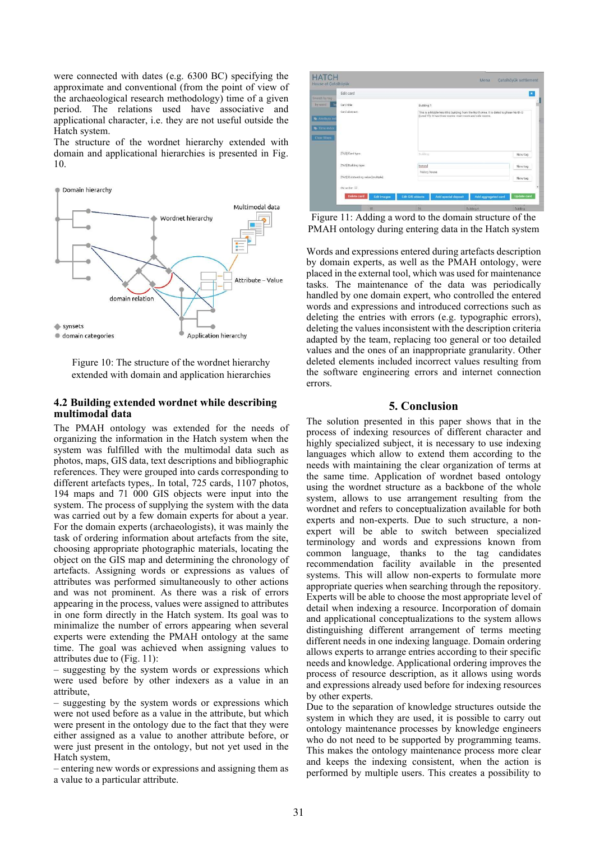were connected with dates (e.g. 6300 BC) specifying the approximate and conventional (from the point of view of the archaeological research methodology) time of a given period. The relations used have associative and applicational character, i.e. they are not useful outside the Hatch system.

The structure of the wordnet hierarchy extended with domain and applicational hierarchies is presented in Fig. 10.



Figure 10: The structure of the wordnet hierarchy extended with domain and application hierarchies

#### 4.2 Building extended wordnet while describing multimodal data

The PMAH ontology was extended for the needs of organizing the information in the Hatch system when the system was fulfilled with the multimodal data such as photos, maps, GIS data, text descriptions and bibliographic references. They were grouped into cards corresponding to different artefacts types,. In total, 725 cards, 1107 photos, 194 maps and 71 000 GIS objects were input into the system. The process of supplying the system with the data was carried out by a few domain experts for about a year. For the domain experts (archaeologists), it was mainly the task of ordering information about artefacts from the site, choosing appropriate photographic materials, locating the object on the GIS map and determining the chronology of artefacts. Assigning words or expressions as values of attributes was performed simultaneously to other actions and was not prominent. As there was a risk of errors appearing in the process, values were assigned to attributes in one form directly in the Hatch system. Its goal was to minimalize the number of errors appearing when several experts were extending the PMAH ontology at the same time. The goal was achieved when assigning values to attributes due to (Fig. 11):

– suggesting by the system words or expressions which were used before by other indexers as a value in an attribute,

– suggesting by the system words or expressions which were not used before as a value in the attribute, but which were present in the ontology due to the fact that they were either assigned as a value to another attribute before, or were just present in the ontology, but not yet used in the Hatch system,

– entering new words or expressions and assigning them as a value to a particular attribute.

| <b>HATCH</b><br>House at Catalhoyük |                                     |                    |                          |                                                                                                                                                     | Menu                | Catalhöyük settlement |   |  |  |
|-------------------------------------|-------------------------------------|--------------------|--------------------------|-----------------------------------------------------------------------------------------------------------------------------------------------------|---------------------|-----------------------|---|--|--|
| Search by tag                       | <b>Edit</b> card                    |                    |                          |                                                                                                                                                     |                     | ×                     |   |  |  |
| by word<br>$\mathbf b$              | Card title:                         |                    |                          | Building 1                                                                                                                                          |                     |                       |   |  |  |
| Attribute in<br>Time Index          | Card abstract:                      |                    |                          | This is a Middle Neolithic building from the North Area. It is dated to phase North G.<br>(Level VI). It has three rooms: main room and side rooms. |                     |                       |   |  |  |
| Clear filters                       | [TAG] Card type:                    |                    | <b>Building</b>          |                                                                                                                                                     |                     | New tag               |   |  |  |
|                                     | [TAG] Building type:                |                    | history<br>history house |                                                                                                                                                     |                     | New tag               |   |  |  |
|                                     | [TAG] Outstanding value [multiple]: |                    |                          |                                                                                                                                                     |                     | New tag               |   |  |  |
|                                     | OV on fiat:                         |                    |                          |                                                                                                                                                     |                     |                       | ۳ |  |  |
|                                     | Delete card                         | <b>Edit Images</b> | <b>Edit GIS objects</b>  | <b>Add special deposit</b>                                                                                                                          | Add aggregated card | <b>Update</b> card    |   |  |  |
|                                     |                                     | ii                 | 26                       |                                                                                                                                                     | Budding 4           | Building              |   |  |  |

Figure 11: Adding a word to the domain structure of the PMAH ontology during entering data in the Hatch system

Words and expressions entered during artefacts description by domain experts, as well as the PMAH ontology, were placed in the external tool, which was used for maintenance tasks. The maintenance of the data was periodically handled by one domain expert, who controlled the entered words and expressions and introduced corrections such as deleting the entries with errors (e.g. typographic errors), deleting the values inconsistent with the description criteria adapted by the team, replacing too general or too detailed values and the ones of an inappropriate granularity. Other deleted elements included incorrect values resulting from the software engineering errors and internet connection errors.

### 5. Conclusion

The solution presented in this paper shows that in the process of indexing resources of different character and highly specialized subject, it is necessary to use indexing languages which allow to extend them according to the needs with maintaining the clear organization of terms at the same time. Application of wordnet based ontology using the wordnet structure as a backbone of the whole system, allows to use arrangement resulting from the wordnet and refers to conceptualization available for both experts and non-experts. Due to such structure, a nonexpert will be able to switch between specialized terminology and words and expressions known from common language, thanks to the tag candidates recommendation facility available in the presented systems. This will allow non-experts to formulate more appropriate queries when searching through the repository. Experts will be able to choose the most appropriate level of detail when indexing a resource. Incorporation of domain and applicational conceptualizations to the system allows distinguishing different arrangement of terms meeting different needs in one indexing language. Domain ordering allows experts to arrange entries according to their specific needs and knowledge. Applicational ordering improves the process of resource description, as it allows using words and expressions already used before for indexing resources by other experts.

Due to the separation of knowledge structures outside the system in which they are used, it is possible to carry out ontology maintenance processes by knowledge engineers who do not need to be supported by programming teams. This makes the ontology maintenance process more clear and keeps the indexing consistent, when the action is performed by multiple users. This creates a possibility to